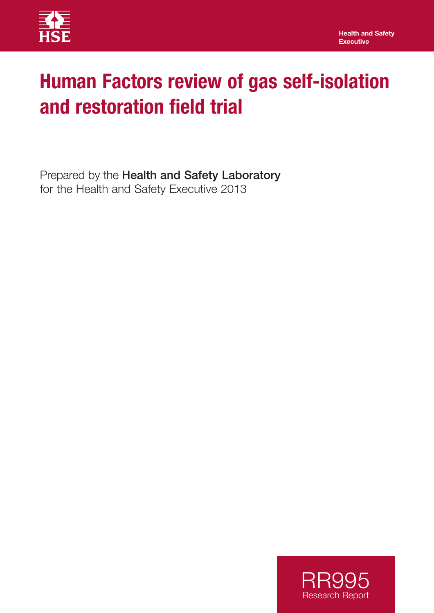

# **Human Factors review of gas self-isolation and restoration field trial**

Prepared by the Health and Safety Laboratory for the Health and Safety Executive 2013

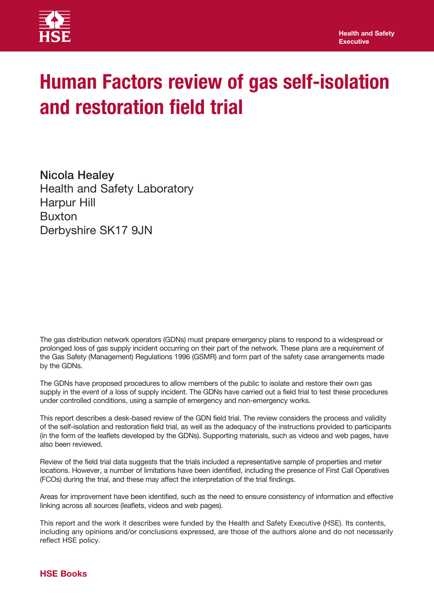

# **Human Factors review of gas self-isolation and restoration field trial**

Nicola Healey Health and Safety Laboratory Harpur Hill Buxton Derbyshire SK17 9JN

The gas distribution network operators (GDNs) must prepare emergency plans to respond to a widespread or prolonged loss of gas supply incident occurring on their part of the network. These plans are a requirement of the Gas Safety (Management) Regulations 1996 (GSMR) and form part of the safety case arrangements made by the GDNs.

The GDNs have proposed procedures to allow members of the public to isolate and restore their own gas supply in the event of a loss of supply incident. The GDNs have carried out a field trial to test these procedures under controlled conditions, using a sample of emergency and non-emergency works.

This report describes a desk-based review of the GDN field trial. The review considers the process and validity of the self-isolation and restoration field trial, as well as the adequacy of the instructions provided to participants (in the form of the leaflets developed by the GDNs). Supporting materials, such as videos and web pages, have also been reviewed.

Review of the field trial data suggests that the trials included a representative sample of properties and meter locations. However, a number of limitations have been identified, including the presence of First Call Operatives (FCOs) during the trial, and these may affect the interpretation of the trial findings.

Areas for improvement have been identified, such as the need to ensure consistency of information and effective linking across all sources (leaflets, videos and web pages).

This report and the work it describes were funded by the Health and Safety Executive (HSE). Its contents, including any opinions and/or conclusions expressed, are those of the authors alone and do not necessarily reflect HSE policy.

#### **HSE Books**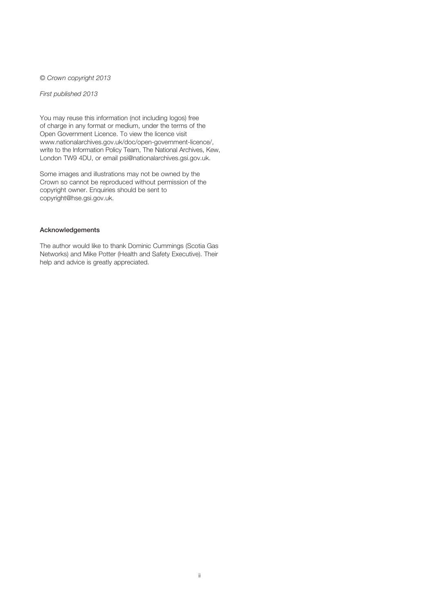© *Crown copyright 2013*

*First published 2013*

You may reuse this information (not including logos) free of charge in any format or medium, under the terms of the Open Government Licence. To view the licence visit www.nationalarchives.gov.uk/doc/open-government-licence/, write to the Information Policy Team, The National Archives, Kew, London TW9 4DU, or email psi@nationalarchives.gsi.gov.uk.

Some images and illustrations may not be owned by the Crown so cannot be reproduced without permission of the copyright owner. Enquiries should be sent to copyright@hse.gsi.gov.uk.

#### Acknowledgements

The author would like to thank Dominic Cummings (Scotia Gas Networks) and Mike Potter (Health and Safety Executive). Their help and advice is greatly appreciated.

ii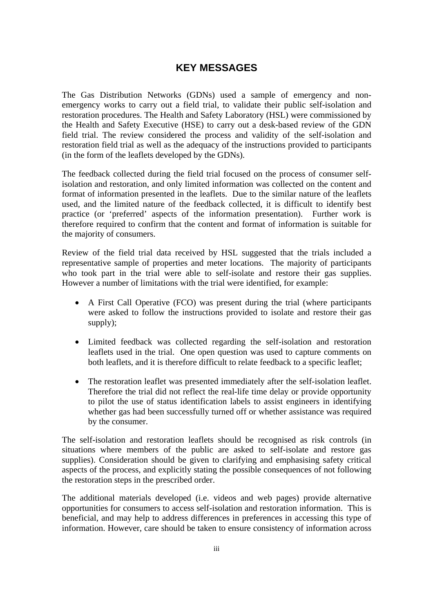### **KEY MESSAGES**

The Gas Distribution Networks (GDNs) used a sample of emergency and nonemergency works to carry out a field trial, to validate their public self-isolation and restoration procedures. The Health and Safety Laboratory (HSL) were commissioned by the Health and Safety Executive (HSE) to carry out a desk-based review of the GDN field trial. The review considered the process and validity of the self-isolation and restoration field trial as well as the adequacy of the instructions provided to participants (in the form of the leaflets developed by the GDNs).

The feedback collected during the field trial focused on the process of consumer selfisolation and restoration, and only limited information was collected on the content and format of information presented in the leaflets. Due to the similar nature of the leaflets used, and the limited nature of the feedback collected, it is difficult to identify best practice (or 'preferred' aspects of the information presentation). Further work is therefore required to confirm that the content and format of information is suitable for the majority of consumers.

Review of the field trial data received by HSL suggested that the trials included a representative sample of properties and meter locations. The majority of participants who took part in the trial were able to self-isolate and restore their gas supplies. However a number of limitations with the trial were identified, for example:

- A First Call Operative (FCO) was present during the trial (where participants were asked to follow the instructions provided to isolate and restore their gas supply);
- Limited feedback was collected regarding the self-isolation and restoration leaflets used in the trial. One open question was used to capture comments on both leaflets, and it is therefore difficult to relate feedback to a specific leaflet;
- The restoration leaflet was presented immediately after the self-isolation leaflet. Therefore the trial did not reflect the real-life time delay or provide opportunity to pilot the use of status identification labels to assist engineers in identifying whether gas had been successfully turned off or whether assistance was required by the consumer.

The self-isolation and restoration leaflets should be recognised as risk controls (in situations where members of the public are asked to self-isolate and restore gas supplies). Consideration should be given to clarifying and emphasising safety critical aspects of the process, and explicitly stating the possible consequences of not following the restoration steps in the prescribed order.

The additional materials developed (i.e. videos and web pages) provide alternative opportunities for consumers to access self-isolation and restoration information. This is beneficial, and may help to address differences in preferences in accessing this type of information. However, care should be taken to ensure consistency of information across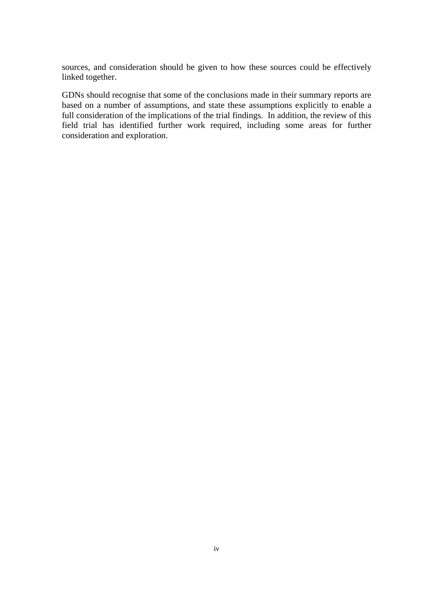sources, and consideration should be given to how these sources could be effectively linked together.

GDNs should recognise that some of the conclusions made in their summary reports are based on a number of assumptions, and state these assumptions explicitly to enable a full consideration of the implications of the trial findings. In addition, the review of this field trial has identified further work required, including some areas for further consideration and exploration.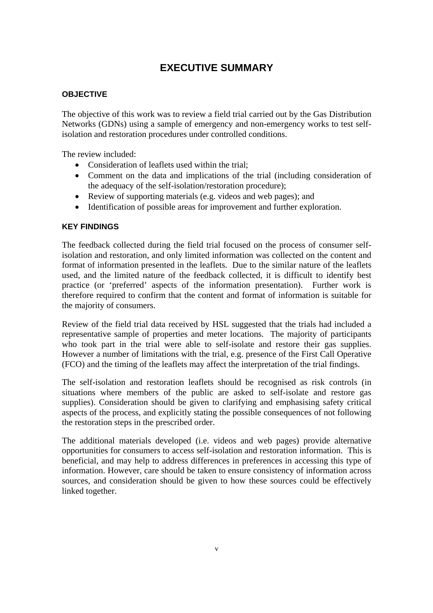## **EXECUTIVE SUMMARY**

#### **OBJECTIVE**

The objective of this work was to review a field trial carried out by the Gas Distribution Networks (GDNs) using a sample of emergency and non-emergency works to test selfisolation and restoration procedures under controlled conditions.

The review included:

- Consideration of leaflets used within the trial:
- Comment on the data and implications of the trial (including consideration of the adequacy of the self-isolation/restoration procedure);
- Review of supporting materials (e.g. videos and web pages); and
- Identification of possible areas for improvement and further exploration.

#### **KEY FINDINGS**

The feedback collected during the field trial focused on the process of consumer selfisolation and restoration, and only limited information was collected on the content and format of information presented in the leaflets. Due to the similar nature of the leaflets used, and the limited nature of the feedback collected, it is difficult to identify best practice (or 'preferred' aspects of the information presentation). Further work is therefore required to confirm that the content and format of information is suitable for the majority of consumers.

Review of the field trial data received by HSL suggested that the trials had included a representative sample of properties and meter locations. The majority of participants who took part in the trial were able to self-isolate and restore their gas supplies. However a number of limitations with the trial, e.g. presence of the First Call Operative (FCO) and the timing of the leaflets may affect the interpretation of the trial findings.

The self-isolation and restoration leaflets should be recognised as risk controls (in situations where members of the public are asked to self-isolate and restore gas supplies). Consideration should be given to clarifying and emphasising safety critical aspects of the process, and explicitly stating the possible consequences of not following the restoration steps in the prescribed order.

The additional materials developed (i.e. videos and web pages) provide alternative opportunities for consumers to access self-isolation and restoration information. This is beneficial, and may help to address differences in preferences in accessing this type of information. However, care should be taken to ensure consistency of information across sources, and consideration should be given to how these sources could be effectively linked together.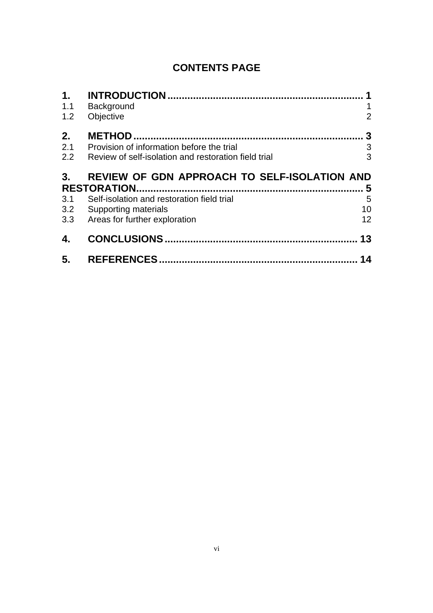## **CONTENTS PAGE**

| $\mathbf 1$ . |                                                      |                 |
|---------------|------------------------------------------------------|-----------------|
| 1.1           | Background                                           | 1               |
| 1.2           | Objective                                            | $\overline{2}$  |
| 2.            |                                                      | 3               |
| 2.1           | Provision of information before the trial            | 3               |
| 2.2           | Review of self-isolation and restoration field trial | 3               |
| 3.            | <b>REVIEW OF GDN APPROACH TO SELF-ISOLATION AND</b>  |                 |
|               |                                                      |                 |
|               | <b>RESTORATION</b>                                   | 5               |
| 3.1           | Self-isolation and restoration field trial           | 5               |
| 3.2           | Supporting materials                                 | 10              |
| 3.3           | Areas for further exploration                        | 12 <sup>2</sup> |
| 4.            | <b>CONCLUSIONS.</b>                                  | 13              |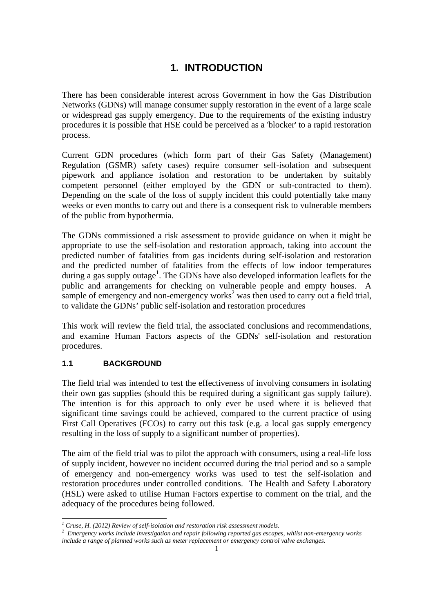## **1. INTRODUCTION**

There has been considerable interest across Government in how the Gas Distribution Networks (GDNs) will manage consumer supply restoration in the event of a large scale or widespread gas supply emergency. Due to the requirements of the existing industry procedures it is possible that HSE could be perceived as a 'blocker' to a rapid restoration process.

Current GDN procedures (which form part of their Gas Safety (Management) Regulation (GSMR) safety cases) require consumer self-isolation and subsequent pipework and appliance isolation and restoration to be undertaken by suitably competent personnel (either employed by the GDN or sub-contracted to them). Depending on the scale of the loss of supply incident this could potentially take many weeks or even months to carry out and there is a consequent risk to vulnerable members of the public from hypothermia.

The GDNs commissioned a risk assessment to provide guidance on when it might be appropriate to use the self-isolation and restoration approach, taking into account the predicted number of fatalities from gas incidents during self-isolation and restoration and the predicted number of fatalities from the effects of low indoor temperatures during a gas supply outage<sup>1</sup>. The GDNs have also developed information leaflets for the public and arrangements for checking on vulnerable people and empty houses. A sample of emergency and non-emergency works<sup>2</sup> was then used to carry out a field trial, to validate the GDNs' public self-isolation and restoration procedures

This work will review the field trial, the associated conclusions and recommendations, and examine Human Factors aspects of the GDNs' self-isolation and restoration procedures.

#### **1.1 BACKGROUND**

The field trial was intended to test the effectiveness of involving consumers in isolating their own gas supplies (should this be required during a significant gas supply failure). The intention is for this approach to only ever be used where it is believed that significant time savings could be achieved, compared to the current practice of using First Call Operatives (FCOs) to carry out this task (e.g. a local gas supply emergency resulting in the loss of supply to a significant number of properties).

The aim of the field trial was to pilot the approach with consumers, using a real-life loss of supply incident, however no incident occurred during the trial period and so a sample of emergency and non-emergency works was used to test the self-isolation and restoration procedures under controlled conditions. The Health and Safety Laboratory (HSL) were asked to utilise Human Factors expertise to comment on the trial, and the adequacy of the procedures being followed.

<sup>&</sup>lt;sup>1</sup><br>
<sup>1</sup> Cruse, H. (2012) Review of self-isolation and restoration risk assessment models.<br>
<sup>2</sup> Emergency works include investigation and rengir following reported ass assess

<sup>&</sup>lt;sup>2</sup> Emergency works include investigation and repair following reported gas escapes, whilst non-emergency works *include a range of planned works such as meter replacement or emergency control valve exchanges.*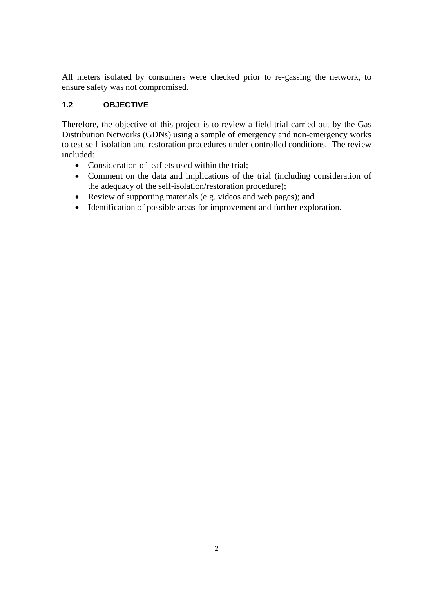All meters isolated by consumers were checked prior to re-gassing the network, to ensure safety was not compromised.

### **1.2 OBJECTIVE**

Therefore, the objective of this project is to review a field trial carried out by the Gas Distribution Networks (GDNs) using a sample of emergency and non-emergency works to test self-isolation and restoration procedures under controlled conditions. The review included:

- Consideration of leaflets used within the trial:
- Comment on the data and implications of the trial (including consideration of the adequacy of the self-isolation/restoration procedure);
- Review of supporting materials (e.g. videos and web pages); and
- Identification of possible areas for improvement and further exploration.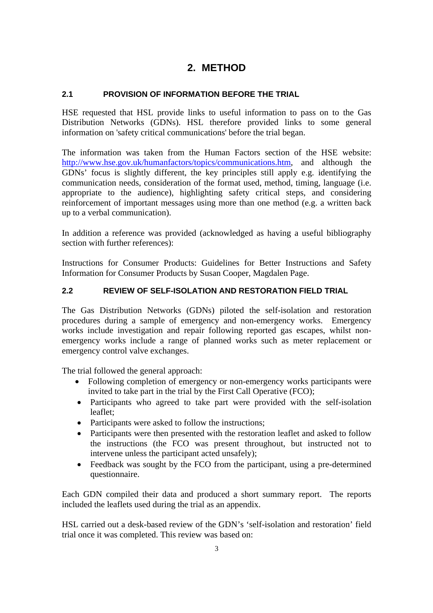## **2. METHOD**

#### **2.1 PROVISION OF INFORMATION BEFORE THE TRIAL**

HSE requested that HSL provide links to useful information to pass on to the Gas Distribution Networks (GDNs). HSL therefore provided links to some general information on 'safety critical communications' before the trial began.

The information was taken from the Human Factors section of the HSE website: http://www.hse.gov.uk/humanfactors/topics/communications.htm, and although the GDNs' focus is slightly different, the key principles still apply e.g. identifying the communication needs, consideration of the format used, method, timing, language (i.e. appropriate to the audience), highlighting safety critical steps, and considering reinforcement of important messages using more than one method (e.g. a written back up to a verbal communication).

In addition a reference was provided (acknowledged as having a useful bibliography section with further references):

Instructions for Consumer Products: Guidelines for Better Instructions and Safety Information for Consumer Products by Susan Cooper, Magdalen Page.

#### **2.2 REVIEW OF SELF-ISOLATION AND RESTORATION FIELD TRIAL**

The Gas Distribution Networks (GDNs) piloted the self-isolation and restoration procedures during a sample of emergency and non-emergency works. Emergency works include investigation and repair following reported gas escapes, whilst nonemergency works include a range of planned works such as meter replacement or emergency control valve exchanges.

The trial followed the general approach:

- Following completion of emergency or non-emergency works participants were invited to take part in the trial by the First Call Operative (FCO);
- Participants who agreed to take part were provided with the self-isolation leaflet;
- Participants were asked to follow the instructions;
- Participants were then presented with the restoration leaflet and asked to follow the instructions (the FCO was present throughout, but instructed not to intervene unless the participant acted unsafely);
- Feedback was sought by the FCO from the participant, using a pre-determined questionnaire.

Each GDN compiled their data and produced a short summary report. The reports included the leaflets used during the trial as an appendix.

HSL carried out a desk-based review of the GDN's 'self-isolation and restoration' field trial once it was completed. This review was based on: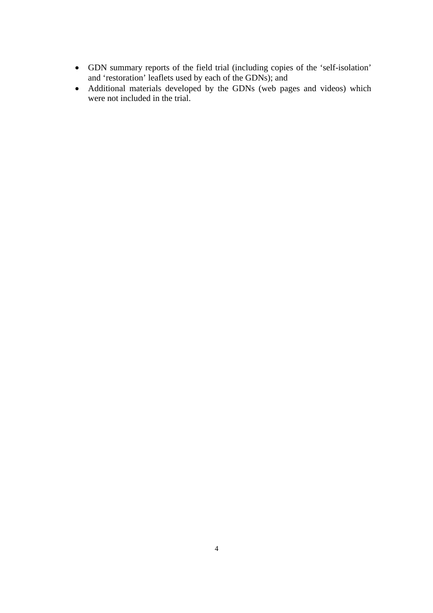- GDN summary reports of the field trial (including copies of the 'self-isolation' and 'restoration' leaflets used by each of the GDNs); and
- Additional materials developed by the GDNs (web pages and videos) which were not included in the trial.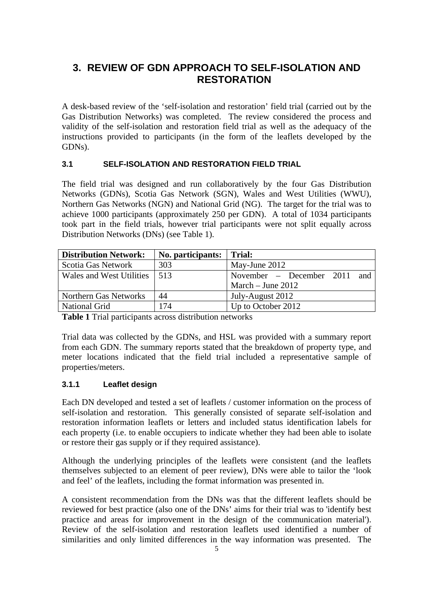## **3. REVIEW OF GDN APPROACH TO SELF-ISOLATION AND RESTORATION**

A desk-based review of the 'self-isolation and restoration' field trial (carried out by the Gas Distribution Networks) was completed. The review considered the process and validity of the self-isolation and restoration field trial as well as the adequacy of the instructions provided to participants (in the form of the leaflets developed by the GDNs).

#### **3.1 SELF-ISOLATION AND RESTORATION FIELD TRIAL**

The field trial was designed and run collaboratively by the four Gas Distribution Networks (GDNs), Scotia Gas Network (SGN), Wales and West Utilities (WWU), Northern Gas Networks (NGN) and National Grid (NG). The target for the trial was to achieve 1000 participants (approximately 250 per GDN). A total of 1034 participants took part in the field trials, however trial participants were not split equally across Distribution Networks (DNs) (see Table 1).

| <b>Distribution Network:</b> | No. participants: | Trial:                          |
|------------------------------|-------------------|---------------------------------|
| Scotia Gas Network           | 303               | May-June 2012                   |
| Wales and West Utilities     | 1513              | November – December 2011<br>and |
|                              |                   | March $-$ June 2012             |
| Northern Gas Networks        | 44                | July-August 2012                |
| <b>National Grid</b>         | 174               | Up to October 2012              |

**Table 1** Trial participants across distribution networks

Trial data was collected by the GDNs, and HSL was provided with a summary report from each GDN. The summary reports stated that the breakdown of property type, and meter locations indicated that the field trial included a representative sample of properties/meters.

#### **3.1.1 Leaflet design**

Each DN developed and tested a set of leaflets / customer information on the process of self-isolation and restoration. This generally consisted of separate self-isolation and restoration information leaflets or letters and included status identification labels for each property (i.e. to enable occupiers to indicate whether they had been able to isolate or restore their gas supply or if they required assistance).

Although the underlying principles of the leaflets were consistent (and the leaflets themselves subjected to an element of peer review), DNs were able to tailor the 'look and feel' of the leaflets, including the format information was presented in.

A consistent recommendation from the DNs was that the different leaflets should be reviewed for best practice (also one of the DNs' aims for their trial was to 'identify best practice and areas for improvement in the design of the communication material'). Review of the self-isolation and restoration leaflets used identified a number of similarities and only limited differences in the way information was presented. The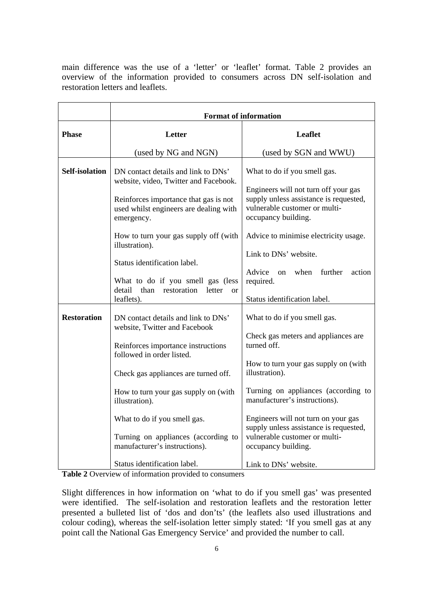main difference was the use of a 'letter' or 'leaflet' format. Table 2 provides an overview of the information provided to consumers across DN self-isolation and restoration letters and leaflets.

| <b>Format of information</b>                                                                                                                                                                                                                                                                                                                      |                                                                                                                                                                                                                                                                                                                                                                                        |  |
|---------------------------------------------------------------------------------------------------------------------------------------------------------------------------------------------------------------------------------------------------------------------------------------------------------------------------------------------------|----------------------------------------------------------------------------------------------------------------------------------------------------------------------------------------------------------------------------------------------------------------------------------------------------------------------------------------------------------------------------------------|--|
| Letter                                                                                                                                                                                                                                                                                                                                            | <b>Leaflet</b>                                                                                                                                                                                                                                                                                                                                                                         |  |
| (used by NG and NGN)                                                                                                                                                                                                                                                                                                                              | (used by SGN and WWU)                                                                                                                                                                                                                                                                                                                                                                  |  |
| DN contact details and link to DNs'<br>website, video, Twitter and Facebook.<br>Reinforces importance that gas is not<br>used whilst engineers are dealing with<br>emergency.                                                                                                                                                                     | What to do if you smell gas.<br>Engineers will not turn off your gas<br>supply unless assistance is requested,<br>vulnerable customer or multi-<br>occupancy building.                                                                                                                                                                                                                 |  |
| How to turn your gas supply off (with<br>illustration).<br>Status identification label.<br>What to do if you smell gas (less<br>detail<br>than<br>restoration<br>letter<br>$\alpha$ r                                                                                                                                                             | Advice to minimise electricity usage.<br>Link to DNs' website.<br>further<br>Advice<br>when<br>action<br><sub>on</sub><br>required.<br>Status identification label.                                                                                                                                                                                                                    |  |
| DN contact details and link to DNs'<br>website, Twitter and Facebook<br>Reinforces importance instructions<br>followed in order listed.<br>Check gas appliances are turned off.<br>How to turn your gas supply on (with<br>illustration).<br>What to do if you smell gas.<br>Turning on appliances (according to<br>manufacturer's instructions). | What to do if you smell gas.<br>Check gas meters and appliances are<br>turned off.<br>How to turn your gas supply on (with<br>illustration).<br>Turning on appliances (according to<br>manufacturer's instructions).<br>Engineers will not turn on your gas<br>supply unless assistance is requested,<br>vulnerable customer or multi-<br>occupancy building.<br>Link to DNs' website. |  |
|                                                                                                                                                                                                                                                                                                                                                   | leaflets).<br>Status identification label.                                                                                                                                                                                                                                                                                                                                             |  |

**Table 2** Overview of information provided to consumers

Slight differences in how information on 'what to do if you smell gas' was presented were identified. The self-isolation and restoration leaflets and the restoration letter presented a bulleted list of 'dos and don'ts' (the leaflets also used illustrations and colour coding), whereas the self-isolation letter simply stated: 'If you smell gas at any point call the National Gas Emergency Service' and provided the number to call.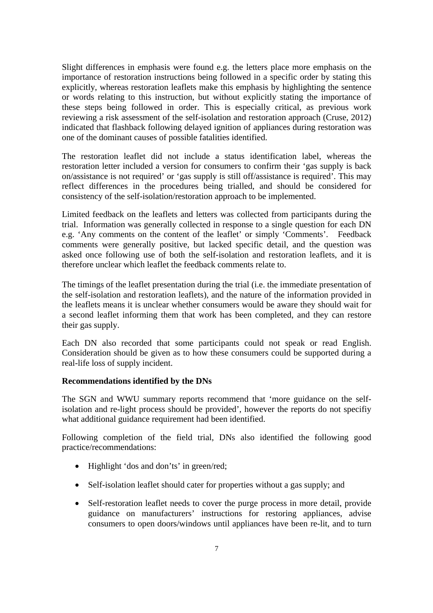Slight differences in emphasis were found e.g. the letters place more emphasis on the importance of restoration instructions being followed in a specific order by stating this explicitly, whereas restoration leaflets make this emphasis by highlighting the sentence or words relating to this instruction, but without explicitly stating the importance of these steps being followed in order. This is especially critical, as previous work reviewing a risk assessment of the self-isolation and restoration approach (Cruse, 2012) indicated that flashback following delayed ignition of appliances during restoration was one of the dominant causes of possible fatalities identified.

The restoration leaflet did not include a status identification label, whereas the restoration letter included a version for consumers to confirm their 'gas supply is back on/assistance is not required' or 'gas supply is still off/assistance is required'. This may reflect differences in the procedures being trialled, and should be considered for consistency of the self-isolation/restoration approach to be implemented.

Limited feedback on the leaflets and letters was collected from participants during the trial. Information was generally collected in response to a single question for each DN e.g. 'Any comments on the content of the leaflet' or simply 'Comments'. Feedback comments were generally positive, but lacked specific detail, and the question was asked once following use of both the self-isolation and restoration leaflets, and it is therefore unclear which leaflet the feedback comments relate to.

The timings of the leaflet presentation during the trial (i.e. the immediate presentation of the self-isolation and restoration leaflets), and the nature of the information provided in the leaflets means it is unclear whether consumers would be aware they should wait for a second leaflet informing them that work has been completed, and they can restore their gas supply.

Each DN also recorded that some participants could not speak or read English. Consideration should be given as to how these consumers could be supported during a real-life loss of supply incident.

#### **Recommendations identified by the DNs**

The SGN and WWU summary reports recommend that 'more guidance on the selfisolation and re-light process should be provided', however the reports do not specifiy what additional guidance requirement had been identified.

Following completion of the field trial, DNs also identified the following good practice/recommendations:

- Highlight 'dos and don'ts' in green/red;
- Self-isolation leaflet should cater for properties without a gas supply; and
- Self-restoration leaflet needs to cover the purge process in more detail, provide guidance on manufacturers' instructions for restoring appliances, advise consumers to open doors/windows until appliances have been re-lit, and to turn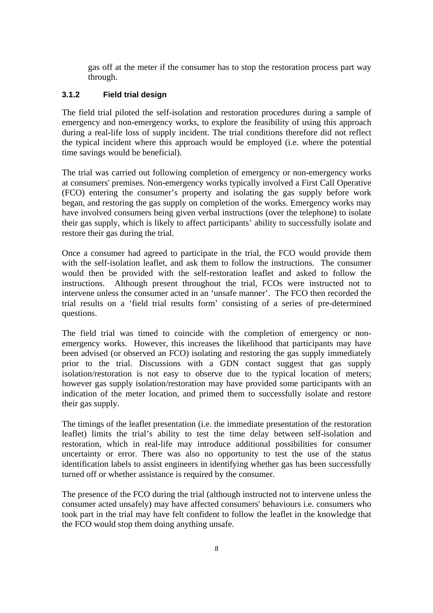gas off at the meter if the consumer has to stop the restoration process part way through.

#### **3.1.2 Field trial design**

The field trial piloted the self-isolation and restoration procedures during a sample of emergency and non-emergency works, to explore the feasibility of using this approach during a real-life loss of supply incident. The trial conditions therefore did not reflect the typical incident where this approach would be employed (i.e. where the potential time savings would be beneficial).

The trial was carried out following completion of emergency or non-emergency works at consumers' premises. Non-emergency works typically involved a First Call Operative (FCO) entering the consumer's property and isolating the gas supply before work began, and restoring the gas supply on completion of the works. Emergency works may have involved consumers being given verbal instructions (over the telephone) to isolate their gas supply, which is likely to affect participants' ability to successfully isolate and restore their gas during the trial.

Once a consumer had agreed to participate in the trial, the FCO would provide them with the self-isolation leaflet, and ask them to follow the instructions. The consumer would then be provided with the self-restoration leaflet and asked to follow the instructions. Although present throughout the trial, FCOs were instructed not to intervene unless the consumer acted in an 'unsafe manner'. The FCO then recorded the trial results on a 'field trial results form' consisting of a series of pre-determined questions.

The field trial was timed to coincide with the completion of emergency or nonemergency works. However, this increases the likelihood that participants may have been advised (or observed an FCO) isolating and restoring the gas supply immediately prior to the trial. Discussions with a GDN contact suggest that gas supply isolation/restoration is not easy to observe due to the typical location of meters; however gas supply isolation/restoration may have provided some participants with an indication of the meter location, and primed them to successfully isolate and restore their gas supply.

The timings of the leaflet presentation (i.e. the immediate presentation of the restoration leaflet) limits the trial's ability to test the time delay between self-isolation and restoration, which in real-life may introduce additional possibilities for consumer uncertainty or error. There was also no opportunity to test the use of the status identification labels to assist engineers in identifying whether gas has been successfully turned off or whether assistance is required by the consumer.

The presence of the FCO during the trial (although instructed not to intervene unless the consumer acted unsafely) may have affected consumers' behaviours i.e. consumers who took part in the trial may have felt confident to follow the leaflet in the knowledge that the FCO would stop them doing anything unsafe.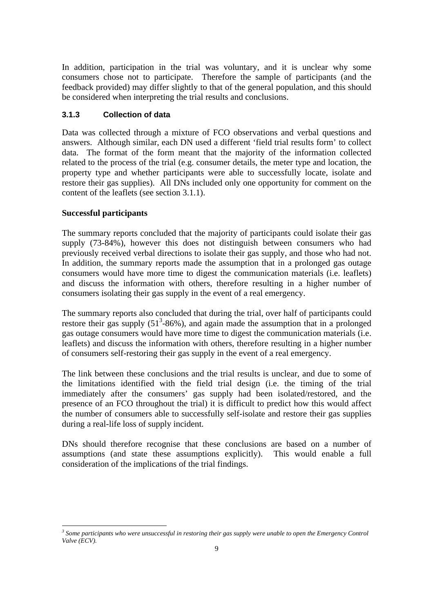In addition, participation in the trial was voluntary, and it is unclear why some consumers chose not to participate. Therefore the sample of participants (and the feedback provided) may differ slightly to that of the general population, and this should be considered when interpreting the trial results and conclusions.

### **3.1.3 Collection of data**

Data was collected through a mixture of FCO observations and verbal questions and answers. Although similar, each DN used a different 'field trial results form' to collect data. The format of the form meant that the majority of the information collected related to the process of the trial (e.g. consumer details, the meter type and location, the property type and whether participants were able to successfully locate, isolate and restore their gas supplies). All DNs included only one opportunity for comment on the content of the leaflets (see section 3.1.1).

#### **Successful participants**

 $\overline{a}$ 

The summary reports concluded that the majority of participants could isolate their gas supply (73-84%), however this does not distinguish between consumers who had previously received verbal directions to isolate their gas supply, and those who had not. In addition, the summary reports made the assumption that in a prolonged gas outage consumers would have more time to digest the communication materials (i.e. leaflets) and discuss the information with others, therefore resulting in a higher number of consumers isolating their gas supply in the event of a real emergency.

The summary reports also concluded that during the trial, over half of participants could restore their gas supply  $(51^3$ -86%), and again made the assumption that in a prolonged gas outage consumers would have more time to digest the communication materials (i.e. leaflets) and discuss the information with others, therefore resulting in a higher number of consumers self-restoring their gas supply in the event of a real emergency.

The link between these conclusions and the trial results is unclear, and due to some of the limitations identified with the field trial design (i.e. the timing of the trial immediately after the consumers' gas supply had been isolated/restored, and the presence of an FCO throughout the trial) it is difficult to predict how this would affect the number of consumers able to successfully self-isolate and restore their gas supplies during a real-life loss of supply incident.

DNs should therefore recognise that these conclusions are based on a number of assumptions (and state these assumptions explicitly). This would enable a full consideration of the implications of the trial findings.

<sup>&</sup>lt;sup>3</sup> Some participants who were unsuccessful in restoring their gas supply were unable to open the Emergency Control *Valve (ECV).*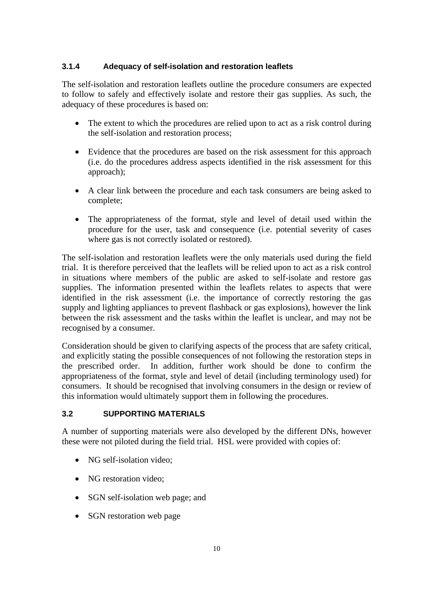#### **3.1.4 Adequacy of self-isolation and restoration leaflets**

The self-isolation and restoration leaflets outline the procedure consumers are expected to follow to safely and effectively isolate and restore their gas supplies. As such, the adequacy of these procedures is based on:

- The extent to which the procedures are relied upon to act as a risk control during the self-isolation and restoration process;
- Evidence that the procedures are based on the risk assessment for this approach (i.e. do the procedures address aspects identified in the risk assessment for this approach);
- A clear link between the procedure and each task consumers are being asked to complete;
- The appropriateness of the format, style and level of detail used within the procedure for the user, task and consequence (i.e. potential severity of cases where gas is not correctly isolated or restored).

The self-isolation and restoration leaflets were the only materials used during the field trial. It is therefore perceived that the leaflets will be relied upon to act as a risk control in situations where members of the public are asked to self-isolate and restore gas supplies. The information presented within the leaflets relates to aspects that were identified in the risk assessment (i.e. the importance of correctly restoring the gas supply and lighting appliances to prevent flashback or gas explosions), however the link between the risk assessment and the tasks within the leaflet is unclear, and may not be recognised by a consumer.

Consideration should be given to clarifying aspects of the process that are safety critical, and explicitly stating the possible consequences of not following the restoration steps in the prescribed order. In addition, further work should be done to confirm the appropriateness of the format, style and level of detail (including terminology used) for consumers. It should be recognised that involving consumers in the design or review of this information would ultimately support them in following the procedures.

#### **3.2 SUPPORTING MATERIALS**

A number of supporting materials were also developed by the different DNs, however these were not piloted during the field trial. HSL were provided with copies of:

- NG self-isolation video:
- NG restoration video:
- SGN self-isolation web page; and
- SGN restoration web page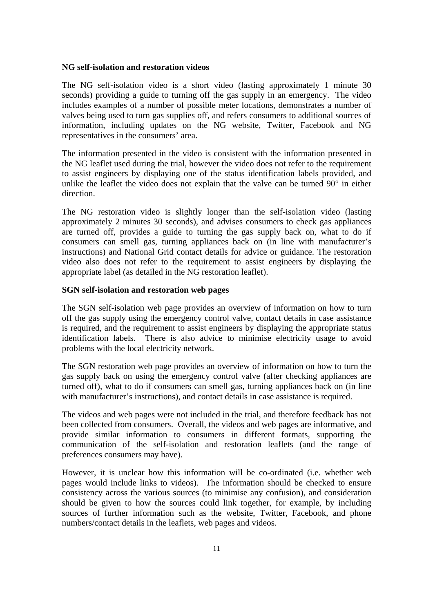#### **NG self-isolation and restoration videos**

The NG self-isolation video is a short video (lasting approximately 1 minute 30 seconds) providing a guide to turning off the gas supply in an emergency. The video includes examples of a number of possible meter locations, demonstrates a number of valves being used to turn gas supplies off, and refers consumers to additional sources of information, including updates on the NG website, Twitter, Facebook and NG representatives in the consumers' area.

The information presented in the video is consistent with the information presented in the NG leaflet used during the trial, however the video does not refer to the requirement to assist engineers by displaying one of the status identification labels provided, and unlike the leaflet the video does not explain that the valve can be turned 90° in either direction.

The NG restoration video is slightly longer than the self-isolation video (lasting approximately 2 minutes 30 seconds), and advises consumers to check gas appliances are turned off, provides a guide to turning the gas supply back on, what to do if consumers can smell gas, turning appliances back on (in line with manufacturer's instructions) and National Grid contact details for advice or guidance. The restoration video also does not refer to the requirement to assist engineers by displaying the appropriate label (as detailed in the NG restoration leaflet).

#### **SGN self-isolation and restoration web pages**

The SGN self-isolation web page provides an overview of information on how to turn off the gas supply using the emergency control valve, contact details in case assistance is required, and the requirement to assist engineers by displaying the appropriate status identification labels. There is also advice to minimise electricity usage to avoid problems with the local electricity network.

The SGN restoration web page provides an overview of information on how to turn the gas supply back on using the emergency control valve (after checking appliances are turned off), what to do if consumers can smell gas, turning appliances back on (in line with manufacturer's instructions), and contact details in case assistance is required.

The videos and web pages were not included in the trial, and therefore feedback has not been collected from consumers. Overall, the videos and web pages are informative, and provide similar information to consumers in different formats, supporting the communication of the self-isolation and restoration leaflets (and the range of preferences consumers may have).

However, it is unclear how this information will be co-ordinated (i.e. whether web pages would include links to videos). The information should be checked to ensure consistency across the various sources (to minimise any confusion), and consideration should be given to how the sources could link together, for example, by including sources of further information such as the website, Twitter, Facebook, and phone numbers/contact details in the leaflets, web pages and videos.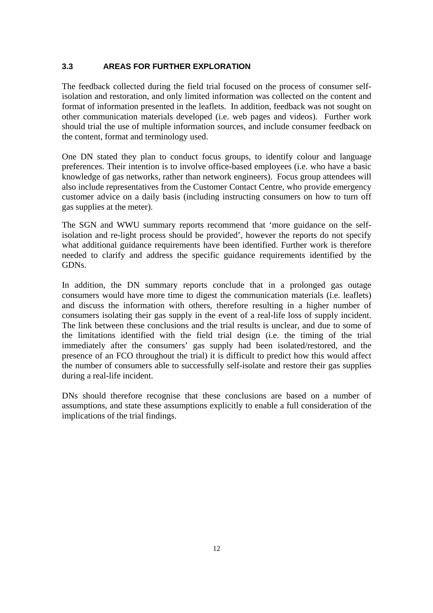#### **3.3 AREAS FOR FURTHER EXPLORATION**

The feedback collected during the field trial focused on the process of consumer selfisolation and restoration, and only limited information was collected on the content and format of information presented in the leaflets. In addition, feedback was not sought on other communication materials developed (i.e. web pages and videos). Further work should trial the use of multiple information sources, and include consumer feedback on the content, format and terminology used.

One DN stated they plan to conduct focus groups, to identify colour and language preferences. Their intention is to involve office-based employees (i.e. who have a basic knowledge of gas networks, rather than network engineers). Focus group attendees will also include representatives from the Customer Contact Centre, who provide emergency customer advice on a daily basis (including instructing consumers on how to turn off gas supplies at the meter).

The SGN and WWU summary reports recommend that 'more guidance on the selfisolation and re-light process should be provided', however the reports do not specify what additional guidance requirements have been identified. Further work is therefore needed to clarify and address the specific guidance requirements identified by the GDNs.

In addition, the DN summary reports conclude that in a prolonged gas outage consumers would have more time to digest the communication materials (i.e. leaflets) and discuss the information with others, therefore resulting in a higher number of consumers isolating their gas supply in the event of a real-life loss of supply incident. The link between these conclusions and the trial results is unclear, and due to some of the limitations identified with the field trial design (i.e. the timing of the trial immediately after the consumers' gas supply had been isolated/restored, and the presence of an FCO throughout the trial) it is difficult to predict how this would affect the number of consumers able to successfully self-isolate and restore their gas supplies during a real-life incident.

DNs should therefore recognise that these conclusions are based on a number of assumptions, and state these assumptions explicitly to enable a full consideration of the implications of the trial findings.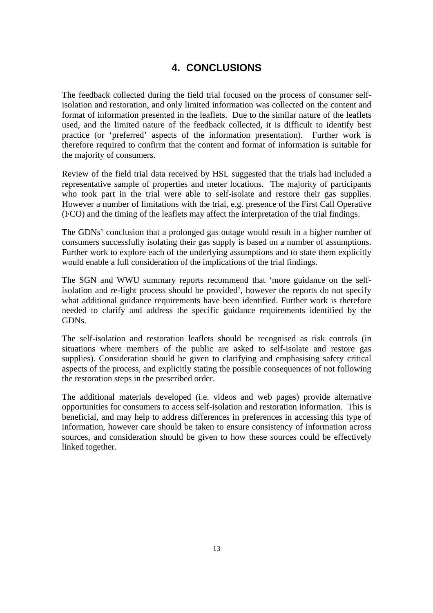## **4. CONCLUSIONS**

The feedback collected during the field trial focused on the process of consumer selfisolation and restoration, and only limited information was collected on the content and format of information presented in the leaflets. Due to the similar nature of the leaflets used, and the limited nature of the feedback collected, it is difficult to identify best practice (or 'preferred' aspects of the information presentation). Further work is therefore required to confirm that the content and format of information is suitable for the majority of consumers.

Review of the field trial data received by HSL suggested that the trials had included a representative sample of properties and meter locations. The majority of participants who took part in the trial were able to self-isolate and restore their gas supplies. However a number of limitations with the trial, e.g. presence of the First Call Operative (FCO) and the timing of the leaflets may affect the interpretation of the trial findings.

The GDNs' conclusion that a prolonged gas outage would result in a higher number of consumers successfully isolating their gas supply is based on a number of assumptions. Further work to explore each of the underlying assumptions and to state them explicitly would enable a full consideration of the implications of the trial findings.

The SGN and WWU summary reports recommend that 'more guidance on the selfisolation and re-light process should be provided', however the reports do not specify what additional guidance requirements have been identified. Further work is therefore needed to clarify and address the specific guidance requirements identified by the GDNs.

The self-isolation and restoration leaflets should be recognised as risk controls (in situations where members of the public are asked to self-isolate and restore gas supplies). Consideration should be given to clarifying and emphasising safety critical aspects of the process, and explicitly stating the possible consequences of not following the restoration steps in the prescribed order.

The additional materials developed (i.e. videos and web pages) provide alternative opportunities for consumers to access self-isolation and restoration information. This is beneficial, and may help to address differences in preferences in accessing this type of information, however care should be taken to ensure consistency of information across sources, and consideration should be given to how these sources could be effectively linked together.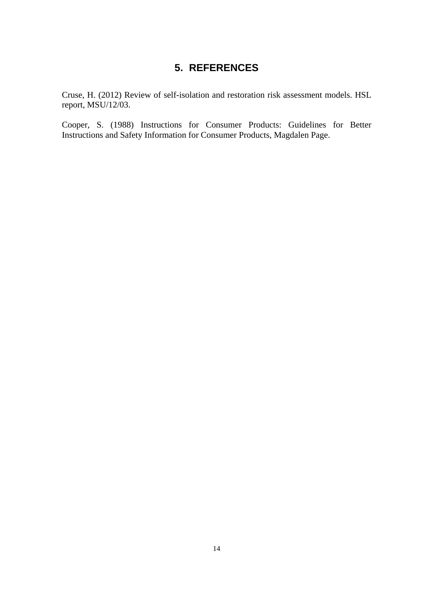## **5. REFERENCES**

Cruse, H. (2012) Review of self-isolation and restoration risk assessment models. HSL report, MSU/12/03.

Cooper, S. (1988) Instructions for Consumer Products: Guidelines for Better Instructions and Safety Information for Consumer Products, Magdalen Page.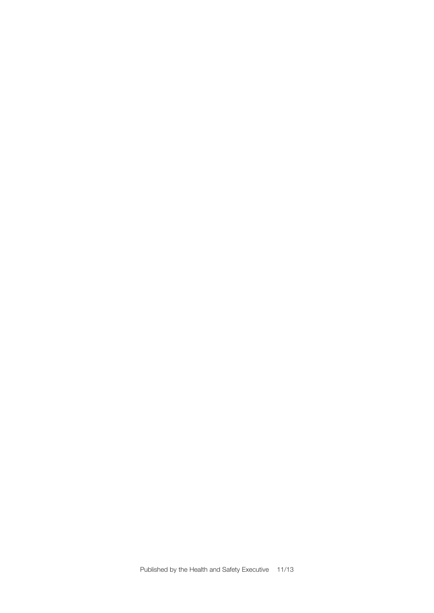Published by the Health and Safety Executive 11/13